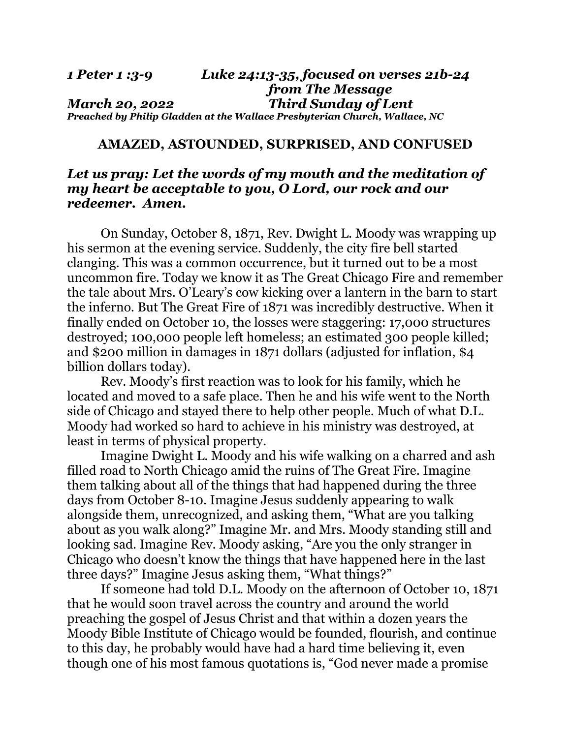#### *1 Peter 1 :3-9 Luke 24:13-35, focused on verses 21b-24 from The Message March 20, 2022 Third Sunday of Lent Preached by Philip Gladden at the Wallace Presbyterian Church, Wallace, NC*

### **AMAZED, ASTOUNDED, SURPRISED, AND CONFUSED**

# *Let us pray: Let the words of my mouth and the meditation of my heart be acceptable to you, O Lord, our rock and our redeemer. Amen.*

On Sunday, October 8, 1871, Rev. Dwight L. Moody was wrapping up his sermon at the evening service. Suddenly, the city fire bell started clanging. This was a common occurrence, but it turned out to be a most uncommon fire. Today we know it as The Great Chicago Fire and remember the tale about Mrs. O'Leary's cow kicking over a lantern in the barn to start the inferno. But The Great Fire of 1871 was incredibly destructive. When it finally ended on October 10, the losses were staggering: 17,000 structures destroyed; 100,000 people left homeless; an estimated 300 people killed; and \$200 million in damages in 1871 dollars (adjusted for inflation, \$4 billion dollars today).

 Rev. Moody's first reaction was to look for his family, which he located and moved to a safe place. Then he and his wife went to the North side of Chicago and stayed there to help other people. Much of what D.L. Moody had worked so hard to achieve in his ministry was destroyed, at least in terms of physical property.

Imagine Dwight L. Moody and his wife walking on a charred and ash filled road to North Chicago amid the ruins of The Great Fire. Imagine them talking about all of the things that had happened during the three days from October 8-10. Imagine Jesus suddenly appearing to walk alongside them, unrecognized, and asking them, "What are you talking about as you walk along?" Imagine Mr. and Mrs. Moody standing still and looking sad. Imagine Rev. Moody asking, "Are you the only stranger in Chicago who doesn't know the things that have happened here in the last three days?" Imagine Jesus asking them, "What things?"

 If someone had told D.L. Moody on the afternoon of October 10, 1871 that he would soon travel across the country and around the world preaching the gospel of Jesus Christ and that within a dozen years the Moody Bible Institute of Chicago would be founded, flourish, and continue to this day, he probably would have had a hard time believing it, even though one of his most famous quotations is, "God never made a promise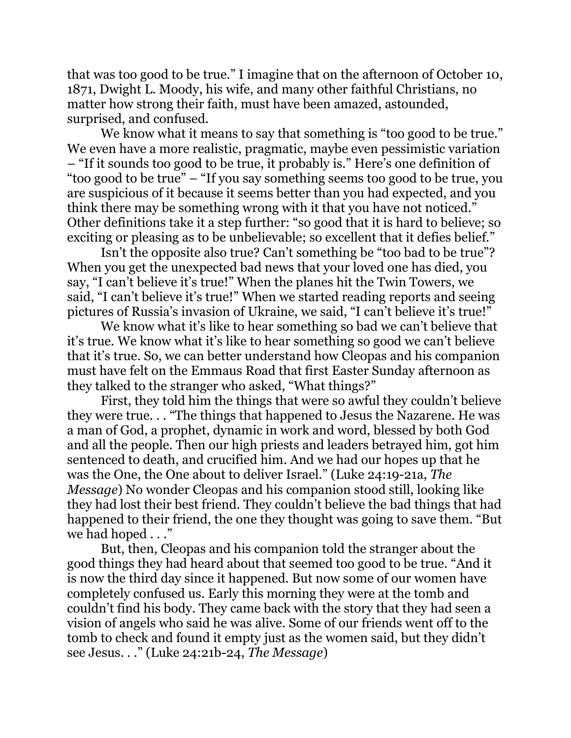that was too good to be true." I imagine that on the afternoon of October 10, 1871, Dwight L. Moody, his wife, and many other faithful Christians, no matter how strong their faith, must have been amazed, astounded, surprised, and confused.

We know what it means to say that something is "too good to be true." We even have a more realistic, pragmatic, maybe even pessimistic variation – "If it sounds too good to be true, it probably is." Here's one definition of "too good to be true" – "If you say something seems too good to be true, you are suspicious of it because it seems better than you had expected, and you think there may be something wrong with it that you have not noticed." Other definitions take it a step further: "so good that it is hard to believe; so exciting or pleasing as to be unbelievable; so excellent that it defies belief."

 Isn't the opposite also true? Can't something be "too bad to be true"? When you get the unexpected bad news that your loved one has died, you say, "I can't believe it's true!" When the planes hit the Twin Towers, we said, "I can't believe it's true!" When we started reading reports and seeing pictures of Russia's invasion of Ukraine, we said, "I can't believe it's true!"

 We know what it's like to hear something so bad we can't believe that it's true. We know what it's like to hear something so good we can't believe that it's true. So, we can better understand how Cleopas and his companion must have felt on the Emmaus Road that first Easter Sunday afternoon as they talked to the stranger who asked, "What things?"

 First, they told him the things that were so awful they couldn't believe they were true. . . "The things that happened to Jesus the Nazarene. He was a man of God, a prophet, dynamic in work and word, blessed by both God and all the people. Then our high priests and leaders betrayed him, got him sentenced to death, and crucified him. And we had our hopes up that he was the One, the One about to deliver Israel." (Luke 24:19-21a, *The Message*) No wonder Cleopas and his companion stood still, looking like they had lost their best friend. They couldn't believe the bad things that had happened to their friend, the one they thought was going to save them. "But we had hoped . . ."

 But, then, Cleopas and his companion told the stranger about the good things they had heard about that seemed too good to be true. "And it is now the third day since it happened. But now some of our women have completely confused us. Early this morning they were at the tomb and couldn't find his body. They came back with the story that they had seen a vision of angels who said he was alive. Some of our friends went off to the tomb to check and found it empty just as the women said, but they didn't see Jesus. . ." (Luke 24:21b-24, *The Message*)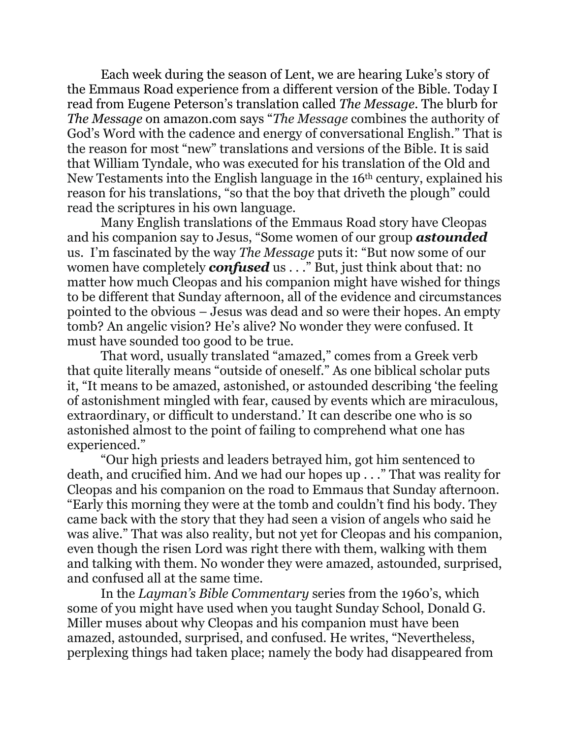Each week during the season of Lent, we are hearing Luke's story of the Emmaus Road experience from a different version of the Bible. Today I read from Eugene Peterson's translation called *The Message*. The blurb for *The Message* on amazon.com says "*The Message* combines the authority of God's Word with the cadence and energy of conversational English." That is the reason for most "new" translations and versions of the Bible. It is said that William Tyndale, who was executed for his translation of the Old and New Testaments into the English language in the 16th century, explained his reason for his translations, "so that the boy that driveth the plough" could read the scriptures in his own language.

 Many English translations of the Emmaus Road story have Cleopas and his companion say to Jesus, "Some women of our group *astounded* us. I'm fascinated by the way *The Message* puts it: "But now some of our women have completely *confused* us . . ." But, just think about that: no matter how much Cleopas and his companion might have wished for things to be different that Sunday afternoon, all of the evidence and circumstances pointed to the obvious – Jesus was dead and so were their hopes. An empty tomb? An angelic vision? He's alive? No wonder they were confused. It must have sounded too good to be true.

 That word, usually translated "amazed," comes from a Greek verb that quite literally means "outside of oneself." As one biblical scholar puts it, "It means to be amazed, astonished, or astounded describing 'the feeling of astonishment mingled with fear, caused by events which are miraculous, extraordinary, or difficult to understand.' It can describe one who is so astonished almost to the point of failing to comprehend what one has experienced."

 "Our high priests and leaders betrayed him, got him sentenced to death, and crucified him. And we had our hopes up . . ." That was reality for Cleopas and his companion on the road to Emmaus that Sunday afternoon. "Early this morning they were at the tomb and couldn't find his body. They came back with the story that they had seen a vision of angels who said he was alive." That was also reality, but not yet for Cleopas and his companion, even though the risen Lord was right there with them, walking with them and talking with them. No wonder they were amazed, astounded, surprised, and confused all at the same time.

 In the *Layman's Bible Commentary* series from the 1960's, which some of you might have used when you taught Sunday School, Donald G. Miller muses about why Cleopas and his companion must have been amazed, astounded, surprised, and confused. He writes, "Nevertheless, perplexing things had taken place; namely the body had disappeared from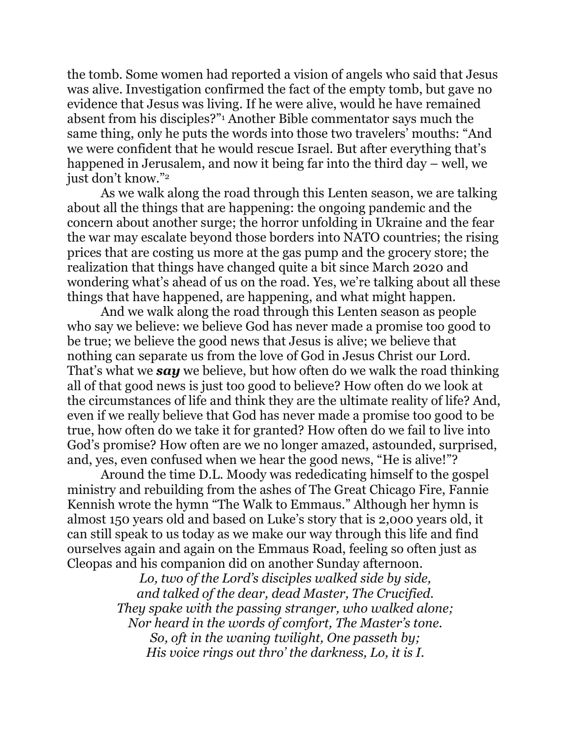the tomb. Some women had reported a vision of angels who said that Jesus was alive. Investigation confirmed the fact of the empty tomb, but gave no evidence that Jesus was living. If he were alive, would he have remained absent from his disciples?"<sup>1</sup> Another Bible commentator says much the same thing, only he puts the words into those two travelers' mouths: "And we were confident that he would rescue Israel. But after everything that's happened in Jerusalem, and now it being far into the third day – well, we just don't know."<sup>2</sup>

 As we walk along the road through this Lenten season, we are talking about all the things that are happening: the ongoing pandemic and the concern about another surge; the horror unfolding in Ukraine and the fear the war may escalate beyond those borders into NATO countries; the rising prices that are costing us more at the gas pump and the grocery store; the realization that things have changed quite a bit since March 2020 and wondering what's ahead of us on the road. Yes, we're talking about all these things that have happened, are happening, and what might happen.

 And we walk along the road through this Lenten season as people who say we believe: we believe God has never made a promise too good to be true; we believe the good news that Jesus is alive; we believe that nothing can separate us from the love of God in Jesus Christ our Lord. That's what we *say* we believe, but how often do we walk the road thinking all of that good news is just too good to believe? How often do we look at the circumstances of life and think they are the ultimate reality of life? And, even if we really believe that God has never made a promise too good to be true, how often do we take it for granted? How often do we fail to live into God's promise? How often are we no longer amazed, astounded, surprised, and, yes, even confused when we hear the good news, "He is alive!"?

 Around the time D.L. Moody was rededicating himself to the gospel ministry and rebuilding from the ashes of The Great Chicago Fire, Fannie Kennish wrote the hymn "The Walk to Emmaus." Although her hymn is almost 150 years old and based on Luke's story that is 2,000 years old, it can still speak to us today as we make our way through this life and find ourselves again and again on the Emmaus Road, feeling so often just as Cleopas and his companion did on another Sunday afternoon.

> *Lo, two of the Lord's disciples walked side by side, and talked of the dear, dead Master, The Crucified. They spake with the passing stranger, who walked alone; Nor heard in the words of comfort, The Master's tone. So, oft in the waning twilight, One passeth by; His voice rings out thro' the darkness, Lo, it is I.*